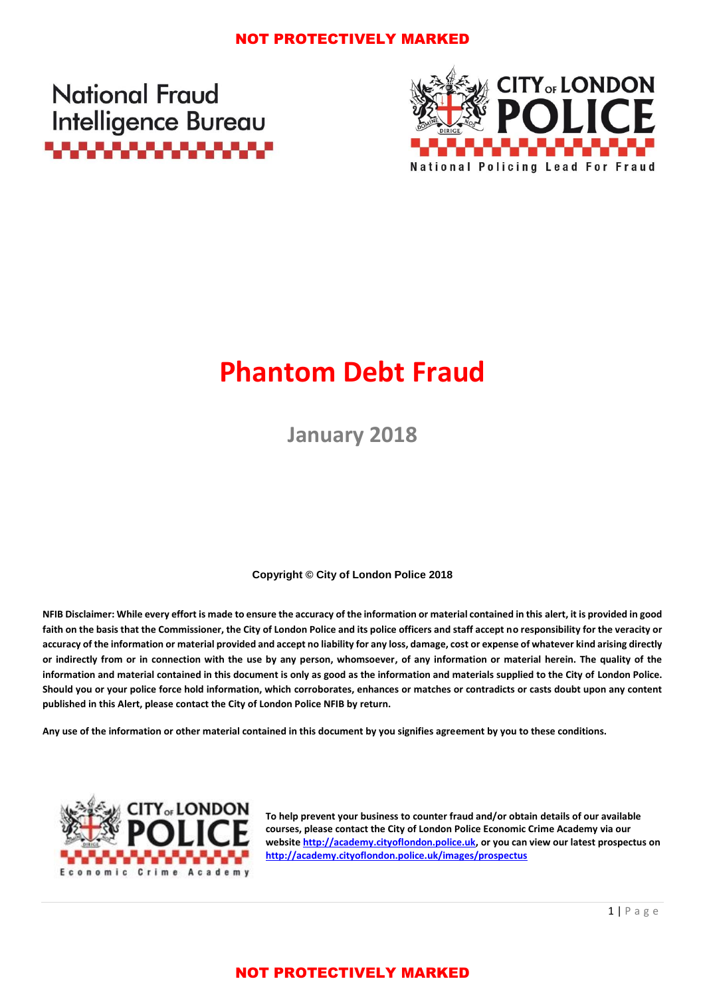### NOT PROTECTIVELY MARKED

**National Fraud Intelligence Bureau** ,,,,,,,,,,,,,,,,,,



# **Phantom Debt Fraud**

**January 2018**

**Copyright © City of London Police 2018**

**NFIB Disclaimer: While every effort is made to ensure the accuracy of the information or material contained in this alert, it is provided in good faith on the basis that the Commissioner, the City of London Police and its police officers and staff accept no responsibility for the veracity or accuracy of the information or material provided and accept no liability for any loss, damage, cost or expense of whatever kind arising directly or indirectly from or in connection with the use by any person, whomsoever, of any information or material herein. The quality of the information and material contained in this document is only as good as the information and materials supplied to the City of London Police. Should you or your police force hold information, which corroborates, enhances or matches or contradicts or casts doubt upon any content published in this Alert, please contact the City of London Police NFIB by return.**

**Any use of the information or other material contained in this document by you signifies agreement by you to these conditions.**



**To help prevent your business to counter fraud and/or obtain details of our available courses, please contact the City of London Police Economic Crime Academy via our website [http://academy.cityoflondon.police.uk,](http://academy.cityoflondon.police.uk/) or you can view our latest prospectus on <http://academy.cityoflondon.police.uk/images/prospectus>**

# NOT PROTECTIVELY MARKED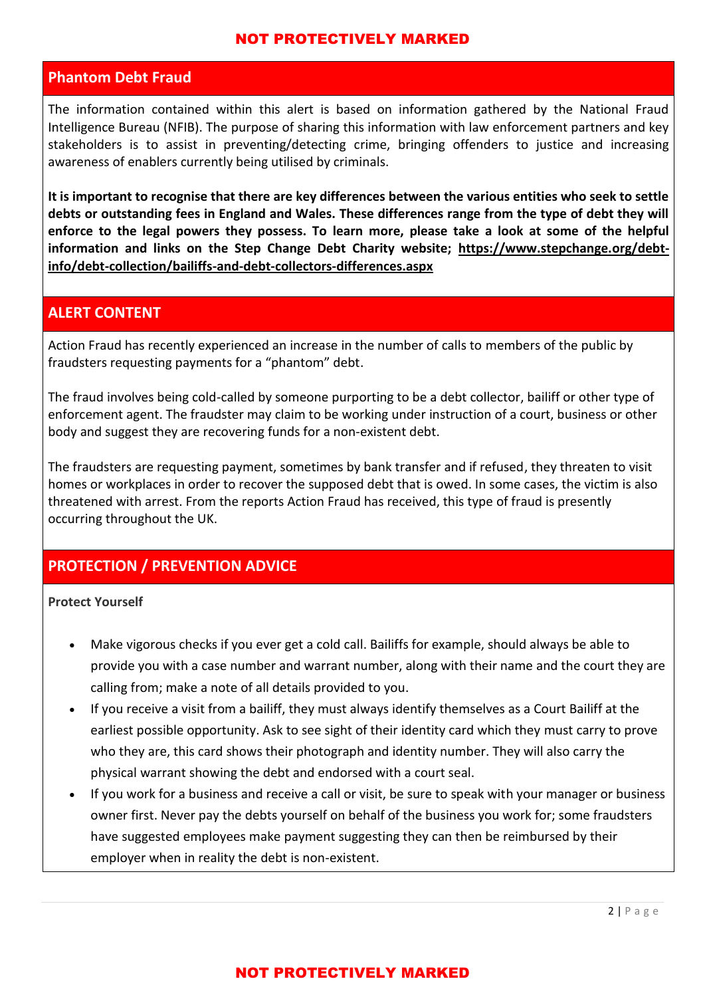#### NOT PROTECTIVELY MARKED

## **Phantom Debt Fraud**

The information contained within this alert is based on information gathered by the National Fraud Intelligence Bureau (NFIB). The purpose of sharing this information with law enforcement partners and key stakeholders is to assist in preventing/detecting crime, bringing offenders to justice and increasing awareness of enablers currently being utilised by criminals.

**It is important to recognise that there are key differences between the various entities who seek to settle debts or outstanding fees in England and Wales. These differences range from the type of debt they will enforce to the legal powers they possess. To learn more, please take a look at some of the helpful information and links on the Step Change Debt Charity website; [https://www.stepchange.org/debt](https://www.stepchange.org/debt-info/debt-collection/bailiffs-and-debt-collectors-differences.aspx)[info/debt-collection/bailiffs-and-debt-collectors-differences.aspx](https://www.stepchange.org/debt-info/debt-collection/bailiffs-and-debt-collectors-differences.aspx)**

# **ALERT CONTENT**

Action Fraud has recently experienced an increase in the number of calls to members of the public by fraudsters requesting payments for a "phantom" debt.

The fraud involves being cold-called by someone purporting to be a debt collector, bailiff or other type of enforcement agent. The fraudster may claim to be working under instruction of a court, business or other body and suggest they are recovering funds for a non-existent debt.

The fraudsters are requesting payment, sometimes by bank transfer and if refused, they threaten to visit homes or workplaces in order to recover the supposed debt that is owed. In some cases, the victim is also threatened with arrest. From the reports Action Fraud has received, this type of fraud is presently occurring throughout the UK.

# **PROTECTION / PREVENTION ADVICE**

**Protect Yourself**

- Make vigorous checks if you ever get a cold call. Bailiffs for example, should always be able to provide you with a case number and warrant number, along with their name and the court they are calling from; make a note of all details provided to you.
- If you receive a visit from a bailiff, they must always identify themselves as a Court Bailiff at the earliest possible opportunity. Ask to see sight of their identity card which they must carry to prove who they are, this card shows their photograph and identity number. They will also carry the physical warrant showing the debt and endorsed with a court seal.
- If you work for a business and receive a call or visit, be sure to speak with your manager or business owner first. Never pay the debts yourself on behalf of the business you work for; some fraudsters have suggested employees make payment suggesting they can then be reimbursed by their employer when in reality the debt is non-existent.

# NOT PROTECTIVELY MARKED